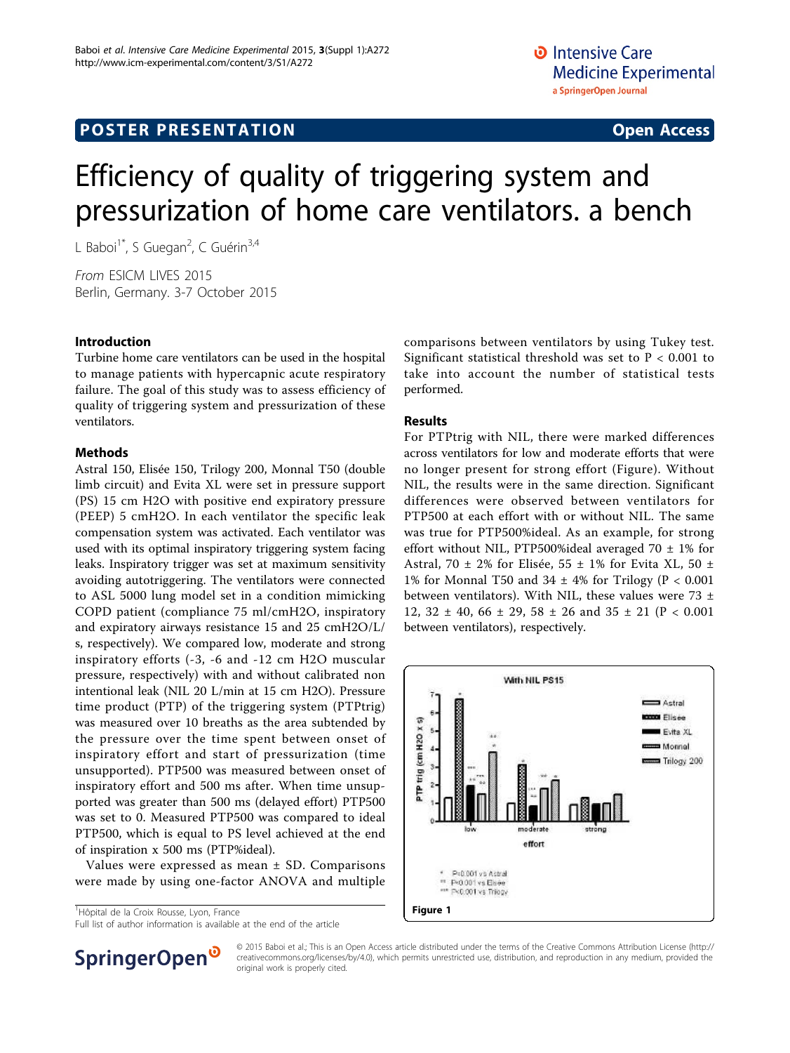## **POSTER PRESENTATION CONSUMING ACCESS**

# Efficiency of quality of triggering system and pressurization of home care ventilators. a bench

L Baboi<sup>1\*</sup>, S Guegan<sup>2</sup>, C Guérin<sup>3,4</sup>

From ESICM LIVES 2015 Berlin, Germany. 3-7 October 2015

#### Introduction

Turbine home care ventilators can be used in the hospital to manage patients with hypercapnic acute respiratory failure. The goal of this study was to assess efficiency of quality of triggering system and pressurization of these ventilators.

#### Methods

Astral 150, Elisée 150, Trilogy 200, Monnal T50 (double limb circuit) and Evita XL were set in pressure support (PS) 15 cm H2O with positive end expiratory pressure (PEEP) 5 cmH2O. In each ventilator the specific leak compensation system was activated. Each ventilator was used with its optimal inspiratory triggering system facing leaks. Inspiratory trigger was set at maximum sensitivity avoiding autotriggering. The ventilators were connected to ASL 5000 lung model set in a condition mimicking COPD patient (compliance 75 ml/cmH2O, inspiratory and expiratory airways resistance 15 and 25 cmH2O/L/ s, respectively). We compared low, moderate and strong inspiratory efforts (-3, -6 and -12 cm H2O muscular pressure, respectively) with and without calibrated non intentional leak (NIL 20 L/min at 15 cm H2O). Pressure time product (PTP) of the triggering system (PTPtrig) was measured over 10 breaths as the area subtended by the pressure over the time spent between onset of inspiratory effort and start of pressurization (time unsupported). PTP500 was measured between onset of inspiratory effort and 500 ms after. When time unsupported was greater than 500 ms (delayed effort) PTP500 was set to 0. Measured PTP500 was compared to ideal PTP500, which is equal to PS level achieved at the end of inspiration x 500 ms (PTP%ideal).

Values were expressed as mean  $\pm$  SD. Comparisons were made by using one-factor ANOVA and multiple

<sup>1</sup>Hôpital de la Croix Rousse, Lyon, France

comparisons between ventilators by using Tukey test. Significant statistical threshold was set to P < 0.001 to take into account the number of statistical tests performed.

#### Results

For PTPtrig with NIL, there were marked differences across ventilators for low and moderate efforts that were no longer present for strong effort (Figure). Without NIL, the results were in the same direction. Significant differences were observed between ventilators for PTP500 at each effort with or without NIL. The same was true for PTP500%ideal. As an example, for strong effort without NIL, PTP500%ideal averaged 70  $\pm$  1% for Astral, 70  $\pm$  2% for Elisée, 55  $\pm$  1% for Evita XL, 50  $\pm$ 1% for Monnal T50 and  $34 \pm 4\%$  for Trilogy (P < 0.001 between ventilators). With NIL, these values were 73  $\pm$ 12,  $32 \pm 40$ ,  $66 \pm 29$ ,  $58 \pm 26$  and  $35 \pm 21$  (P < 0.001 between ventilators), respectively.





© 2015 Baboi et al.; This is an Open Access article distributed under the terms of the Creative Commons Attribution License [\(http://](http://creativecommons.org/licenses/by/4.0) [creativecommons.org/licenses/by/4.0](http://creativecommons.org/licenses/by/4.0)), which permits unrestricted use, distribution, and reproduction in any medium, provided the original work is properly cited.

Full list of author information is available at the end of the article